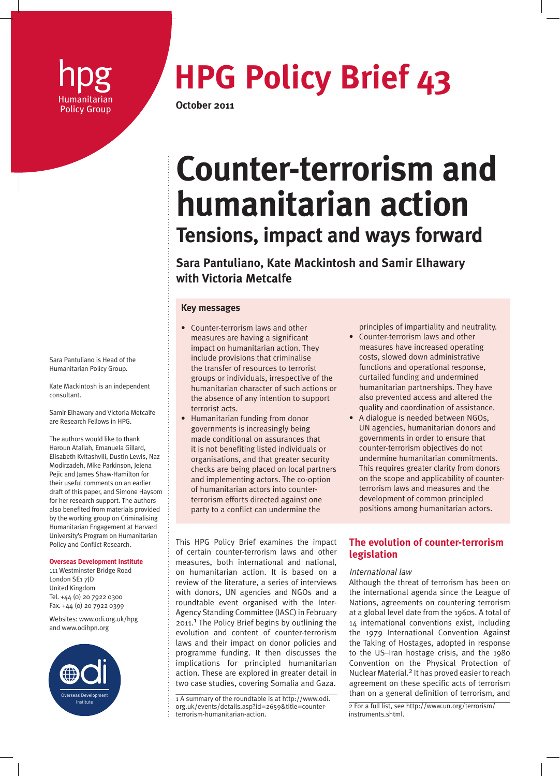

# **hpg HPG Policy Brief 43**<br>
Policy Group October 2011

**October 2011** 

# **Counter-terrorism and humanitarian action Tensions, impact and ways forward**

**Sara Pantuliano, Kate Mackintosh and Samir Elhawary with Victoria Metcalfe**

# **Key messages**

- Counter-terrorism laws and other measures are having a significant impact on humanitarian action. They include provisions that criminalise the transfer of resources to terrorist groups or individuals, irrespective of the humanitarian character of such actions or the absence of any intention to support terrorist acts.
- Humanitarian funding from donor governments is increasingly being made conditional on assurances that it is not benefiting listed individuals or organisations, and that greater security checks are being placed on local partners and implementing actors. The co-option of humanitarian actors into counterterrorism efforts directed against one party to a conflict can undermine the

This HPG Policy Brief examines the impact of certain counter-terrorism laws and other measures, both international and national, on humanitarian action. It is based on a review of the literature, a series of interviews with donors, UN agencies and NGOs and a roundtable event organised with the Inter-Agency Standing Committee (IASC) in February 2011.1 The Policy Brief begins by outlining the evolution and content of counter-terrorism laws and their impact on donor policies and programme funding. It then discusses the implications for principled humanitarian action. These are explored in greater detail in two case studies, covering Somalia and Gaza.

principles of impartiality and neutrality.

- Counter-terrorism laws and other measures have increased operating costs, slowed down administrative functions and operational response, curtailed funding and undermined humanitarian partnerships. They have also prevented access and altered the quality and coordination of assistance.
- A dialogue is needed between NGOs, UN agencies, humanitarian donors and governments in order to ensure that counter-terrorism objectives do not undermine humanitarian commitments. This requires greater clarity from donors on the scope and applicability of counterterrorism laws and measures and the development of common principled positions among humanitarian actors.

# **The evolution of counter-terrorism legislation**

# International law

Although the threat of terrorism has been on the international agenda since the League of Nations, agreements on countering terrorism at a global level date from the 1960s. A total of 14 international conventions exist, including the 1979 International Convention Against the Taking of Hostages, adopted in response to the US–Iran hostage crisis, and the 1980 Convention on the Physical Protection of Nuclear Material.2 It has proved easier to reach agreement on these specific acts of terrorism than on a general definition of terrorism, and

2 For a full list, see http://www.un.org/terrorism/ instruments shtml

Sara Pantuliano is Head of the Humanitarian Policy Group.

Kate Mackintosh is an independent consultant.

Samir Elhawary and Victoria Metcalfe are Research Fellows in HPG.

The authors would like to thank Haroun Atallah, Emanuela Gillard, Elisabeth Kvitashvili, Dustin Lewis, Naz Modirzadeh, Mike Parkinson, Jelena Pejic and James Shaw-Hamilton for their useful comments on an earlier draft of this paper, and Simone Haysom for her research support. The authors also benefited from materials provided by the working group on Criminalising Humanitarian Engagement at Harvard University's Program on Humanitarian Policy and Conflict Research.

#### **Overseas Development Institute**

111 Westminster Bridge Road London SE1 7JD United Kingdom Tel. +44 (0) 20 7922 0300 Fax. +44 (0) 20 7922 0399

Websites: www.odi.org.uk/hpg and www.odihpn.org



 $1A$  summary of the roundtable is at http://www.odi. org.uk/events/details.asp?id=2659&title=counterterrorism-humanitarian-action.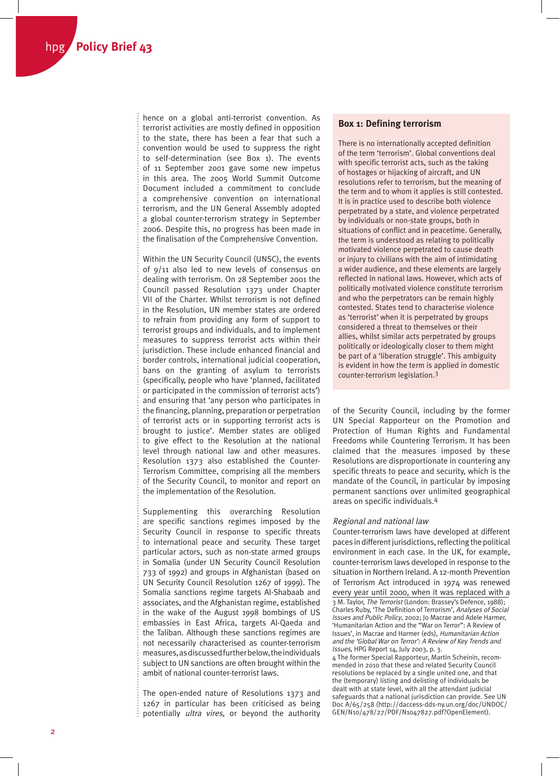hence on a global anti-terrorist convention. As terrorist activities are mostly defined in opposition to the state, there has been a fear that such a convention would be used to suppress the right to self-determination (see Box 1). The events of 11 September 2001 gave some new impetus in this area. The 2005 World Summit Outcome Document included a commitment to conclude a comprehensive convention on international terrorism, and the UN General Assembly adopted a global counter-terrorism strategy in September 2006. Despite this, no progress has been made in the finalisation of the Comprehensive Convention.

Within the UN Security Council (UNSC), the events of 9/11 also led to new levels of consensus on dealing with terrorism. On 28 September 2001 the Council passed Resolution 1373 under Chapter VII of the Charter. Whilst terrorism is not defined in the Resolution, UN member states are ordered to refrain from providing any form of support to terrorist groups and individuals, and to implement measures to suppress terrorist acts within their jurisdiction. These include enhanced financial and border controls, international judicial cooperation, bans on the granting of asylum to terrorists (specifically, people who have 'planned, facilitated or participated in the commission of terrorist acts') and ensuring that 'any person who participates in the financing, planning, preparation or perpetration of terrorist acts or in supporting terrorist acts is brought to justice'. Member states are obliged to give effect to the Resolution at the national level through national law and other measures. Resolution 1373 also established the Counter-Terrorism Committee, comprising all the members of the Security Council, to monitor and report on the implementation of the Resolution.

Supplementing this overarching Resolution are specific sanctions regimes imposed by the Security Council in response to specific threats to international peace and security. These target particular actors, such as non-state armed groups in Somalia (under UN Security Council Resolution 733 of 1992) and groups in Afghanistan (based on UN Security Council Resolution 1267 of 1999). The Somalia sanctions regime targets Al-Shabaab and associates, and the Afghanistan regime, established in the wake of the August 1998 bombings of US embassies in East Africa, targets Al-Qaeda and the Taliban. Although these sanctions regimes are not necessarily characterised as counter-terrorism measures, as discussed further below, the individuals subject to UN sanctions are often brought within the ambit of national counter-terrorist laws.

The open-ended nature of Resolutions 1373 and 1267 in particular has been criticised as being potentially *ultra vires*, or beyond the authority

# **Box 1: Defining terrorism**

There is no internationally accepted definition of the term 'terrorism'. Global conventions deal with specific terrorist acts, such as the taking of hostages or hijacking of aircraft, and UN resolutions refer to terrorism, but the meaning of the term and to whom it applies is still contested. It is in practice used to describe both violence perpetrated by a state, and violence perpetrated by individuals or non-state groups, both in situations of conflict and in peacetime. Generally, the term is understood as relating to politically motivated violence perpetrated to cause death or injury to civilians with the aim of intimidating a wider audience, and these elements are largely reflected in national laws. However, which acts of politically motivated violence constitute terrorism and who the perpetrators can be remain highly contested. States tend to characterise violence as 'terrorist' when it is perpetrated by groups considered a threat to themselves or their allies, whilst similar acts perpetrated by groups politically or ideologically closer to them might be part of a 'liberation struggle'. This ambiguity is evident in how the term is applied in domestic counter-terrorism legislation.3

of the Security Council, including by the former UN Special Rapporteur on the Promotion and Protection of Human Rights and Fundamental Freedoms while Countering Terrorism. It has been claimed that the measures imposed by these Resolutions are disproportionate in countering any specific threats to peace and security, which is the mandate of the Council, in particular by imposing permanent sanctions over unlimited geographical areas on specific individuals.4

### Regional and national law

Counter-terrorism laws have developed at different paces in different jurisdictions, reflecting the political environment in each case. In the UK, for example, counter-terrorism laws developed in response to the situation in Northern Ireland. A 12-month Prevention of Terrorism Act introduced in 1974 was renewed every year until 2000, when it was replaced with a 3 M. Taylor, The Terrorist (London: Brassey's Defence, 1988); Charles Ruby, 'The Definition of Terrorism', Analyses of Social Issues and Public Policy, 2002; Jo Macrae and Adele Harmer, 'Humanitarian Action and the "War on Terror": A Review of Issues', in Macrae and Harmer (eds), Humanitarian Action and the 'Global War on Terror': A Review of Key Trends and Issues, HPG Report 14, July 2003, p. 3.

4 The former Special Rapporteur, Martin Scheinin, recommended in 2010 that these and related Security Council resolutions be replaced by a single united one, and that the (temporary) listing and delisting of individuals be dealt with at state level, with all the attendant judicial safeguards that a national jurisdiction can provide. See UN Doc A/65/258 (http://daccess-dds-ny.un.org/doc/UNDOC/ GEN/N10/478/27/PDF/N1047827.pdf?OpenElement).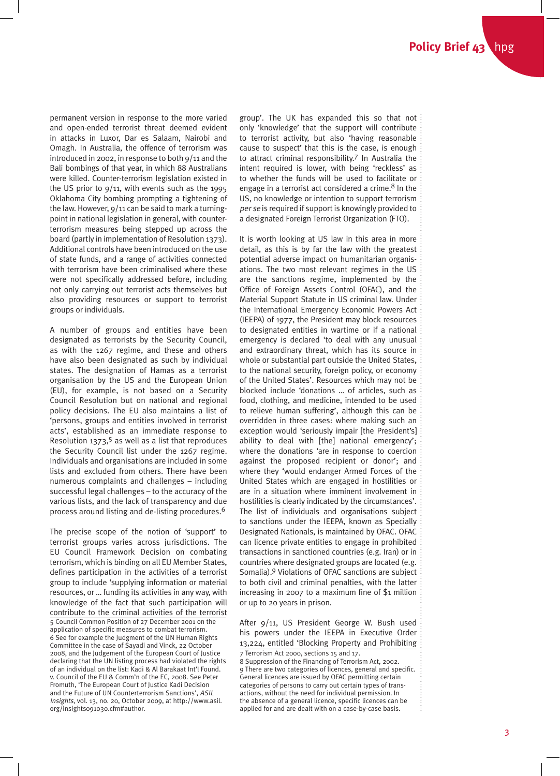permanent version in response to the more varied and open-ended terrorist threat deemed evident in attacks in Luxor, Dar es Salaam, Nairobi and Omagh. In Australia, the offence of terrorism was introduced in 2002, in response to both 9/11 and the Bali bombings of that year, in which 88 Australians were killed. Counter-terrorism legislation existed in the US prior to  $9/11$ , with events such as the 1995 Oklahoma City bombing prompting a tightening of the law. However, 9/11 can be said to mark a turningpoint in national legislation in general, with counterterrorism measures being stepped up across the board (partly in implementation of Resolution 1373). Additional controls have been introduced on the use of state funds, and a range of activities connected with terrorism have been criminalised where these were not specifically addressed before, including not only carrying out terrorist acts themselves but also providing resources or support to terrorist groups or individuals.

A number of groups and entities have been designated as terrorists by the Security Council, as with the 1267 regime, and these and others have also been designated as such by individual states. The designation of Hamas as a terrorist organisation by the US and the European Union (EU), for example, is not based on a Security Council Resolution but on national and regional policy decisions. The EU also maintains a list of 'persons, groups and entities involved in terrorist acts', established as an immediate response to Resolution  $1373$ ,<sup>5</sup> as well as a list that reproduces the Security Council list under the 1267 regime. Individuals and organisations are included in some lists and excluded from others. There have been numerous complaints and challenges – including successful legal challenges – to the accuracy of the various lists, and the lack of transparency and due process around listing and de-listing procedures.6

The precise scope of the notion of 'support' to terrorist groups varies across jurisdictions. The EU Council Framework Decision on combating terrorism, which is binding on all EU Member States, defines participation in the activities of a terrorist group to include 'supplying information or material resources, or … funding its activities in any way, with knowledge of the fact that such participation will contribute to the criminal activities of the terrorist 5 Council Common Position of 27 December 2001 on the application of specific measures to combat terrorism. 6 See for example the Judgment of the UN Human Rights Committee in the case of Sayadi and Vinck, 22 October 2008, and the Judgement of the European Court of Justice declaring that the UN listing process had violated the rights of an individual on the list: Kadi & Al Barakaat Int'l Found. v. Council of the EU & Comm'n of the EC, 2008. See Peter Fromuth, 'The European Court of Justice Kadi Decision and the Future of UN Counterterrorism Sanctions', ASIL Insights, vol. 13, no. 20, October 2009, at http://www.asil. org/insights091030.cfm#author.

group'. The UK has expanded this so that not only 'knowledge' that the support will contribute to terrorist activity, but also 'having reasonable cause to suspect' that this is the case, is enough to attract criminal responsibility.7 In Australia the intent required is lower, with being 'reckless' as to whether the funds will be used to facilitate or engage in a terrorist act considered a crime. $8$  In the US, no knowledge or intention to support terrorism per se is required if support is knowingly provided to a designated Foreign Terrorist Organization (FTO).

It is worth looking at US law in this area in more detail, as this is by far the law with the greatest potential adverse impact on humanitarian organisations. The two most relevant regimes in the US are the sanctions regime, implemented by the Office of Foreign Assets Control (OFAC), and the Material Support Statute in US criminal law. Under the International Emergency Economic Powers Act (IEEPA) of 1977, the President may block resources to designated entities in wartime or if a national emergency is declared 'to deal with any unusual and extraordinary threat, which has its source in whole or substantial part outside the United States, to the national security, foreign policy, or economy of the United States'. Resources which may not be blocked include 'donations … of articles, such as food, clothing, and medicine, intended to be used to relieve human suffering', although this can be overridden in three cases: where making such an exception would 'seriously impair [the President's] ability to deal with [the] national emergency'; where the donations 'are in response to coercion against the proposed recipient or donor'; and where they 'would endanger Armed Forces of the United States which are engaged in hostilities or are in a situation where imminent involvement in hostilities is clearly indicated by the circumstances'. The list of individuals and organisations subject to sanctions under the IEEPA, known as Specially Designated Nationals, is maintained by OFAC. OFAC can licence private entities to engage in prohibited transactions in sanctioned countries (e.g. Iran) or in countries where designated groups are located (e.g. Somalia).9 Violations of OFAC sanctions are subject to both civil and criminal penalties, with the latter increasing in 2007 to a maximum fine of \$1 million or up to 20 years in prison.

After 9/11, US President George W. Bush used his powers under the IEEPA in Executive Order 13,224, entitled 'Blocking Property and Prohibiting 7 Terrorism Act 2000, sections 15 and 17.

8 Suppression of the Financing of Terrorism Act, 2002. 9 There are two categories of licences, general and specific. General licences are issued by OFAC permitting certain categories of persons to carry out certain types of transactions, without the need for individual permission. In the absence of a general licence, specific licences can be applied for and are dealt with on a case-by-case basis.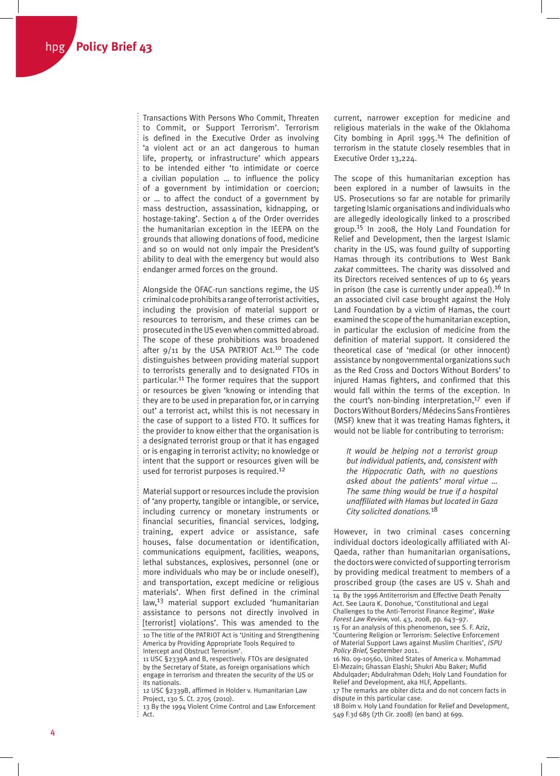Transactions With Persons Who Commit, Threaten to Commit, or Support Terrorism'. Terrorism is defined in the Executive Order as involving 'a violent act or an act dangerous to human life, property, or infrastructure' which appears to be intended either 'to intimidate or coerce a civilian population … to influence the policy of a government by intimidation or coercion; or … to affect the conduct of a government by mass destruction, assassination, kidnapping, or hostage-taking'. Section 4 of the Order overrides the humanitarian exception in the IEEPA on the grounds that allowing donations of food, medicine and so on would not only impair the President's ability to deal with the emergency but would also endanger armed forces on the ground.

Alongside the OFAC-run sanctions regime, the US criminal code prohibits a range of terrorist activities, including the provision of material support or resources to terrorism, and these crimes can be prosecuted in the US even when committed abroad. The scope of these prohibitions was broadened after 9/11 by the USA PATRIOT Act.<sup>10</sup> The code distinguishes between providing material support to terrorists generally and to designated FTOs in particular.11 The former requires that the support or resources be given 'knowing or intending that they are to be used in preparation for, or in carrying out' a terrorist act, whilst this is not necessary in the case of support to a listed FTO. It suffices for the provider to know either that the organisation is a designated terrorist group or that it has engaged or is engaging in terrorist activity; no knowledge or intent that the support or resources given will be used for terrorist purposes is required.12

Material support or resources include the provision of 'any property, tangible or intangible, or service, including currency or monetary instruments or financial securities, financial services, lodging, training, expert advice or assistance, safe houses, false documentation or identification, communications equipment, facilities, weapons, lethal substances, explosives, personnel (one or more individuals who may be or include oneself), and transportation, except medicine or religious materials'. When first defined in the criminal law,13 material support excluded 'humanitarian assistance to persons not directly involved in [terrorist] violations'. This was amended to the

current, narrower exception for medicine and religious materials in the wake of the Oklahoma City bombing in April 1995.14 The definition of terrorism in the statute closely resembles that in Executive Order 13,224.

The scope of this humanitarian exception has been explored in a number of lawsuits in the US. Prosecutions so far are notable for primarily targeting Islamic organisations and individuals who are allegedly ideologically linked to a proscribed group.15 In 2008, the Holy Land Foundation for Relief and Development, then the largest Islamic charity in the US, was found guilty of supporting Hamas through its contributions to West Bank zakat committees. The charity was dissolved and its Directors received sentences of up to 65 years in prison (the case is currently under appeal).<sup>16</sup> In an associated civil case brought against the Holy Land Foundation by a victim of Hamas, the court examined the scope of the humanitarian exception, in particular the exclusion of medicine from the definition of material support. It considered the theoretical case of 'medical (or other innocent) assistance by nongovernmental organizations such as the Red Cross and Doctors Without Borders' to injured Hamas fighters, and confirmed that this would fall within the terms of the exception. In the court's non-binding interpretation, $17$  even if Doctors Without Borders/Médecins Sans Frontières (MSF) knew that it was treating Hamas fighters, it would not be liable for contributing to terrorism:

*It would be helping not a terrorist group but individual patients, and, consistent with the Hippocratic Oath, with no questions asked about the patients' moral virtue … The same thing would be true if a hospital unaffiliated with Hamas but located in Gaza City solicited donations.*18

However, in two criminal cases concerning individual doctors ideologically affiliated with Al-Qaeda, rather than humanitarian organisations, the doctors were convicted of supporting terrorism by providing medical treatment to members of a proscribed group (the cases are US v. Shah and

'Countering Religion or Terrorism: Selective Enforcement of Material Support Laws against Muslim Charities', ISPU Policy Brief, September 2011.

18 Boim v. Holy Land Foundation for Relief and Development, 549 F.3d 685 (7th Cir. 2008) (en banc) at 699.

<sup>10</sup> The title of the PATRIOT Act is 'Uniting and Strengthening America by Providing Appropriate Tools Required to Intercept and Obstruct Terrorism'.

<sup>11</sup> USC §2339A and B, respectively. FTOs are designated by the Secretary of State, as foreign organisations which engage in terrorism and threaten the security of the US or

its nationals. 12 USC §2339B, affirmed in Holder v. Humanitarian Law Project, 130 S. Ct. 2705 (2010).

<sup>13</sup> By the 1994 Violent Crime Control and Law Enforcement Act.

<sup>14</sup> By the 1996 Antiterrorism and Effective Death Penalty Act. See Laura K. Donohue, 'Constitutional and Legal Challenges to the Anti-Terrorist Finance Regime', Wake Forest Law Review, vol. 43, 2008, pp. 643–97. 15 For an analysis of this phenomenon, see S. F. Aziz,

<sup>16</sup> No. 09-10560, United States of America v. Mohammad El-Mezain; Ghassan Elashi; Shukri Abu Baker; Mufid Abdulqader; Abdulrahman Odeh; Holy Land Foundation for Relief and Development, aka HLF, Appellants.

<sup>17</sup> The remarks are obiter dicta and do not concern facts in dispute in this particular case.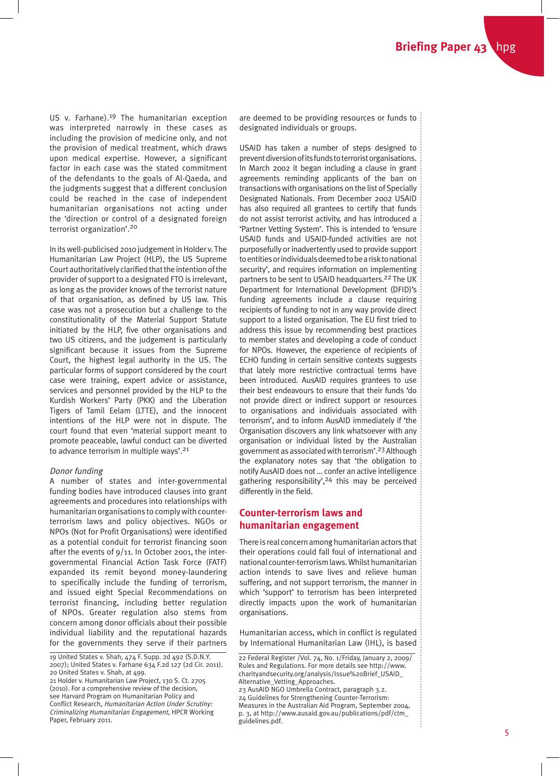US v. Farhane).19 The humanitarian exception was interpreted narrowly in these cases as including the provision of medicine only, and not the provision of medical treatment, which draws upon medical expertise. However, a significant factor in each case was the stated commitment of the defendants to the goals of Al-Qaeda, and the judgments suggest that a different conclusion could be reached in the case of independent humanitarian organisations not acting under the 'direction or control of a designated foreign terrorist organization'.20

In its well-publicised 2010 judgement in Holder v. The Humanitarian Law Project (HLP), the US Supreme Court authoritatively clarified that the intention of the provider of support to a designated FTO is irrelevant, as long as the provider knows of the terrorist nature of that organisation, as defined by US law. This case was not a prosecution but a challenge to the constitutionality of the Material Support Statute initiated by the HLP, five other organisations and two US citizens, and the judgement is particularly significant because it issues from the Supreme Court, the highest legal authority in the US. The particular forms of support considered by the court case were training, expert advice or assistance, services and personnel provided by the HLP to the Kurdish Workers' Party (PKK) and the Liberation Tigers of Tamil Eelam (LTTE), and the innocent intentions of the HLP were not in dispute. The court found that even 'material support meant to promote peaceable, lawful conduct can be diverted to advance terrorism in multiple ways'.21

# Donor funding

A number of states and inter-governmental funding bodies have introduced clauses into grant agreements and procedures into relationships with humanitarian organisations to comply with counterterrorism laws and policy objectives. NGOs or NPOs (Not for Profit Organisations) were identified as a potential conduit for terrorist financing soon after the events of  $9/11$ . In October 2001, the intergovernmental Financial Action Task Force (FATF) expanded its remit beyond money-laundering to specifically include the funding of terrorism, and issued eight Special Recommendations on terrorist financing, including better regulation of NPOs. Greater regulation also stems from concern among donor officials about their possible individual liability and the reputational hazards for the governments they serve if their partners

(2010). For a comprehensive review of the decision, see Harvard Program on Humanitarian Policy and Conflict Research, Humanitarian Action Under Scrutiny: Criminalizing Humanitarian Engagement, HPCR Working Paper, February 2011.

are deemed to be providing resources or funds to : designated individuals or groups.

USAID has taken a number of steps designed to prevent diversion of its funds to terrorist organisations. In March 2002 it began including a clause in grant agreements reminding applicants of the ban on transactions with organisations on the list of Specially Designated Nationals. From December 2002 USAID has also required all grantees to certify that funds do not assist terrorist activity, and has introduced a 'Partner Vetting System'. This is intended to 'ensure USAID funds and USAID-funded activities are not purposefully or inadvertently used to provide support to entities or individuals deemed to be a risk to national security', and requires information on implementing partners to be sent to USAID headquarters.<sup>22</sup> The UK Department for International Development (DFID)'s funding agreements include a clause requiring recipients of funding to not in any way provide direct support to a listed organisation. The EU first tried to address this issue by recommending best practices to member states and developing a code of conduct for NPOs. However, the experience of recipients of ECHO funding in certain sensitive contexts suggests that lately more restrictive contractual terms have been introduced. AusAID requires grantees to use their best endeavours to ensure that their funds 'do not provide direct or indirect support or resources to organisations and individuals associated with terrorism', and to inform AusAID immediately if 'the Organisation discovers any link whatsoever with any organisation or individual listed by the Australian government as associated with terrorism'.23 Although the explanatory notes say that 'the obligation to notify AusAID does not … confer an active intelligence gathering responsibility',<sup>24</sup> this may be perceived differently in the field.

# **Counter-terrorism laws and humanitarian engagement**

There is real concern among humanitarian actors that their operations could fall foul of international and national counter-terrorism laws. Whilst humanitarian action intends to save lives and relieve human suffering, and not support terrorism, the manner in which 'support' to terrorism has been interpreted directly impacts upon the work of humanitarian organisations.

Humanitarian access, which in conflict is regulated by International Humanitarian Law (IHL), is based

Measures in the Australian Aid Program, September 2004, p. 3, at http://www.ausaid.gov.au/publications/pdf/ctm\_ guidelines.pdf.

<sup>19</sup> United States v. Shah, 474 F. Supp. 2d 492 (S.D.N.Y. 2007); United States v. Farhane 634 F.2d 127 (2d Cir. 2011). 20 United States v. Shah, at 499. 21 Holder v. Humanitarian Law Project, 130 S. Ct. 2705

<sup>22</sup> Federal Register /Vol. 74, No. 1/Friday, January 2, 2009/ Rules and Regulations. For more details see http://www. charityandsecurity.org/analysis/Issue%20Brief\_USAID\_ Alternative\_Vetting\_Approaches. 23 AusAID NGO Umbrella Contract, paragraph 3.2. 24 Guidelines for Strengthening Counter-Terrorism: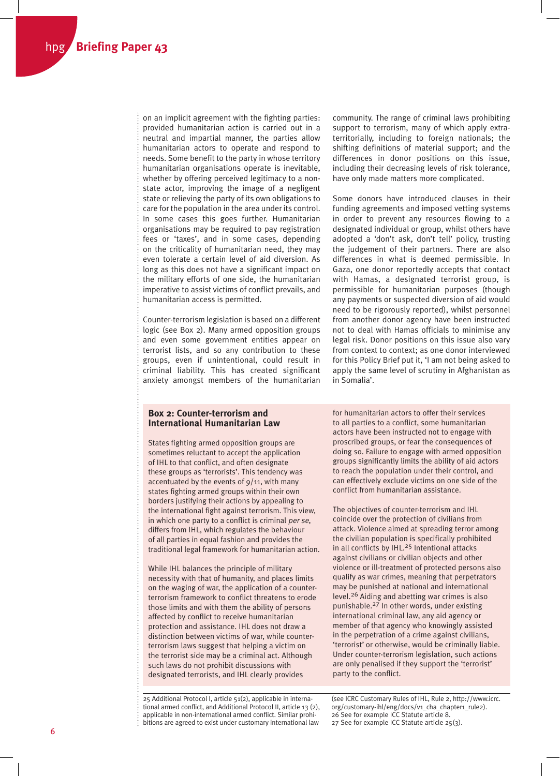on an implicit agreement with the fighting parties: provided humanitarian action is carried out in a neutral and impartial manner, the parties allow humanitarian actors to operate and respond to needs. Some benefit to the party in whose territory humanitarian organisations operate is inevitable, whether by offering perceived legitimacy to a nonstate actor, improving the image of a negligent state or relieving the party of its own obligations to care for the population in the area under its control. In some cases this goes further. Humanitarian organisations may be required to pay registration fees or 'taxes', and in some cases, depending on the criticality of humanitarian need, they may even tolerate a certain level of aid diversion. As long as this does not have a significant impact on the military efforts of one side, the humanitarian imperative to assist victims of conflict prevails, and humanitarian access is permitted.

Counter-terrorism legislation is based on a different logic (see Box 2). Many armed opposition groups and even some government entities appear on terrorist lists, and so any contribution to these groups, even if unintentional, could result in criminal liability. This has created significant anxiety amongst members of the humanitarian

community. The range of criminal laws prohibiting support to terrorism, many of which apply extraterritorially, including to foreign nationals; the shifting definitions of material support; and the differences in donor positions on this issue, including their decreasing levels of risk tolerance, have only made matters more complicated.

Some donors have introduced clauses in their funding agreements and imposed vetting systems in order to prevent any resources flowing to a designated individual or group, whilst others have adopted a 'don't ask, don't tell' policy, trusting the judgement of their partners. There are also differences in what is deemed permissible. In Gaza, one donor reportedly accepts that contact with Hamas, a designated terrorist group, is permissible for humanitarian purposes (though any payments or suspected diversion of aid would need to be rigorously reported), whilst personnel from another donor agency have been instructed not to deal with Hamas officials to minimise any legal risk. Donor positions on this issue also vary from context to context; as one donor interviewed for this Policy Brief put it, 'I am not being asked to apply the same level of scrutiny in Afghanistan as in Somalia'.

# **Box 2: Counter-terrorism and International Humanitarian Law**

States fighting armed opposition groups are sometimes reluctant to accept the application of IHL to that conflict, and often designate these groups as 'terrorists'. This tendency was accentuated by the events of  $9/11$ , with many states fighting armed groups within their own borders justifying their actions by appealing to the international fight against terrorism. This view, in which one party to a conflict is criminal per se, differs from IHL, which regulates the behaviour of all parties in equal fashion and provides the traditional legal framework for humanitarian action.

While IHL balances the principle of military necessity with that of humanity, and places limits on the waging of war, the application of a counterterrorism framework to conflict threatens to erode those limits and with them the ability of persons affected by conflict to receive humanitarian protection and assistance. IHL does not draw a distinction between victims of war, while counterterrorism laws suggest that helping a victim on the terrorist side may be a criminal act. Although such laws do not prohibit discussions with designated terrorists, and IHL clearly provides

25 Additional Protocol I, article 51(2), applicable in international armed conflict, and Additional Protocol II, article 13 (2), applicable in non-international armed conflict. Similar prohibitions are agreed to exist under customary international law

for humanitarian actors to offer their services to all parties to a conflict, some humanitarian actors have been instructed not to engage with proscribed groups, or fear the consequences of doing so. Failure to engage with armed opposition groups significantly limits the ability of aid actors to reach the population under their control, and can effectively exclude victims on one side of the conflict from humanitarian assistance.

The objectives of counter-terrorism and IHL coincide over the protection of civilians from attack. Violence aimed at spreading terror among the civilian population is specifically prohibited in all conflicts by IHL.<sup>25</sup> Intentional attacks against civilians or civilian objects and other violence or ill-treatment of protected persons also qualify as war crimes, meaning that perpetrators may be punished at national and international level.26 Aiding and abetting war crimes is also punishable.27 In other words, under existing international criminal law, any aid agency or member of that agency who knowingly assisted in the perpetration of a crime against civilians, 'terrorist' or otherwise, would be criminally liable. Under counter-terrorism legislation, such actions are only penalised if they support the 'terrorist' party to the conflict.

(see ICRC Customary Rules of IHL, Rule 2, http://www.icrc. org/customary-ihl/eng/docs/v1\_cha\_chapter1\_rule2). 26 See for example ICC Statute article 8. 27 See for example ICC Statute article 25(3).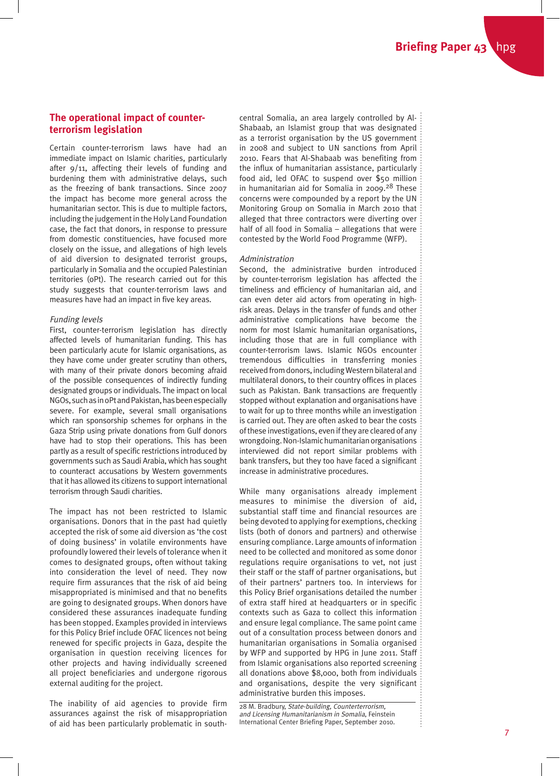# **The operational impact of counterterrorism legislation**

Certain counter-terrorism laws have had an immediate impact on Islamic charities, particularly after 9/11, affecting their levels of funding and burdening them with administrative delays, such as the freezing of bank transactions. Since 2007 the impact has become more general across the humanitarian sector. This is due to multiple factors, including the judgement in the Holy Land Foundation case, the fact that donors, in response to pressure from domestic constituencies, have focused more closely on the issue, and allegations of high levels of aid diversion to designated terrorist groups, particularly in Somalia and the occupied Palestinian territories (oPt). The research carried out for this study suggests that counter-terrorism laws and measures have had an impact in five key areas.

### Funding levels

First, counter-terrorism legislation has directly affected levels of humanitarian funding. This has been particularly acute for Islamic organisations, as they have come under greater scrutiny than others, with many of their private donors becoming afraid of the possible consequences of indirectly funding designated groups or individuals. The impact on local NGOs, such as in oPt and Pakistan, has been especially severe. For example, several small organisations which ran sponsorship schemes for orphans in the Gaza Strip using private donations from Gulf donors have had to stop their operations. This has been partly as a result of specific restrictions introduced by governments such as Saudi Arabia, which has sought to counteract accusations by Western governments that it has allowed its citizens to support international terrorism through Saudi charities.

The impact has not been restricted to Islamic organisations. Donors that in the past had quietly accepted the risk of some aid diversion as 'the cost of doing business' in volatile environments have profoundly lowered their levels of tolerance when it comes to designated groups, often without taking into consideration the level of need. They now require firm assurances that the risk of aid being misappropriated is minimised and that no benefits are going to designated groups. When donors have considered these assurances inadequate funding has been stopped. Examples provided in interviews for this Policy Brief include OFAC licences not being renewed for specific projects in Gaza, despite the organisation in question receiving licences for other projects and having individually screened all project beneficiaries and undergone rigorous external auditing for the project.

The inability of aid agencies to provide firm assurances against the risk of misappropriation of aid has been particularly problematic in southcentral Somalia, an area largely controlled by Al-Shabaab, an Islamist group that was designated as a terrorist organisation by the US government in 2008 and subject to UN sanctions from April 2010. Fears that Al-Shabaab was benefiting from the influx of humanitarian assistance, particularly food aid, led OFAC to suspend over \$50 million in humanitarian aid for Somalia in 2009.<sup>28</sup> These concerns were compounded by a report by the UN Monitoring Group on Somalia in March 2010 that alleged that three contractors were diverting over half of all food in Somalia – allegations that were contested by the World Food Programme (WFP).

## Administration

Second, the administrative burden introduced by counter-terrorism legislation has affected the timeliness and efficiency of humanitarian aid, and can even deter aid actors from operating in highrisk areas. Delays in the transfer of funds and other administrative complications have become the norm for most Islamic humanitarian organisations, including those that are in full compliance with counter-terrorism laws. Islamic NGOs encounter tremendous difficulties in transferring monies received from donors, including Western bilateral and multilateral donors, to their country offices in places such as Pakistan. Bank transactions are frequently stopped without explanation and organisations have to wait for up to three months while an investigation is carried out. They are often asked to bear the costs of these investigations, even if they are cleared of any wrongdoing. Non-Islamic humanitarian organisations interviewed did not report similar problems with bank transfers, but they too have faced a significant increase in administrative procedures.

While many organisations already implement measures to minimise the diversion of aid, substantial staff time and financial resources are being devoted to applying for exemptions, checking lists (both of donors and partners) and otherwise ensuring compliance. Large amounts of information need to be collected and monitored as some donor regulations require organisations to vet, not just their staff or the staff of partner organisations, but of their partners' partners too. In interviews for this Policy Brief organisations detailed the number of extra staff hired at headquarters or in specific contexts such as Gaza to collect this information and ensure legal compliance. The same point came out of a consultation process between donors and humanitarian organisations in Somalia organised by WFP and supported by HPG in June 2011. Staff from Islamic organisations also reported screening all donations above \$8,000, both from individuals and organisations, despite the very significant administrative burden this imposes.

28 M. Bradbury, State-building, Counterterrorism, and Licensing Humanitarianism in Somalia, Feinstein International Center Briefing Paper, September 2010.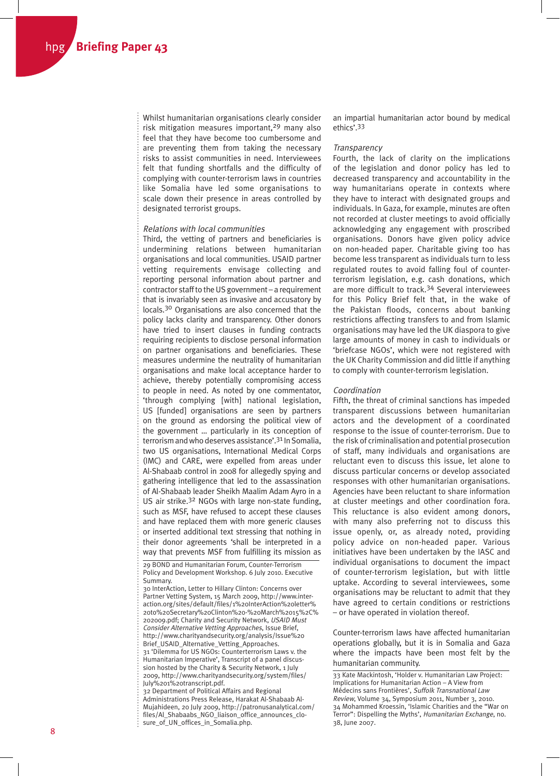Whilst humanitarian organisations clearly consider risk mitigation measures important, $29$  many also feel that they have become too cumbersome and are preventing them from taking the necessary risks to assist communities in need. Interviewees felt that funding shortfalls and the difficulty of complying with counter-terrorism laws in countries like Somalia have led some organisations to scale down their presence in areas controlled by designated terrorist groups.

#### Relations with local communities

Third, the vetting of partners and beneficiaries is undermining relations between humanitarian organisations and local communities. USAID partner vetting requirements envisage collecting and reporting personal information about partner and contractor staff to the US government – a requirement that is invariably seen as invasive and accusatory by locals.30 Organisations are also concerned that the policy lacks clarity and transparency. Other donors have tried to insert clauses in funding contracts requiring recipients to disclose personal information on partner organisations and beneficiaries. These measures undermine the neutrality of humanitarian organisations and make local acceptance harder to achieve, thereby potentially compromising access to people in need. As noted by one commentator, 'through complying [with] national legislation, US [funded] organisations are seen by partners on the ground as endorsing the political view of the government … particularly in its conception of terrorism and who deserves assistance'.31 In Somalia, two US organisations, International Medical Corps (IMC) and CARE, were expelled from areas under Al-Shabaab control in 2008 for allegedly spying and gathering intelligence that led to the assassination of Al-Shabaab leader Sheikh Maalim Adam Ayro in a US air strike.<sup>32</sup> NGOs with large non-state funding, such as MSF, have refused to accept these clauses and have replaced them with more generic clauses or inserted additional text stressing that nothing in their donor agreements 'shall be interpreted in a way that prevents MSF from fulfilling its mission as

29 BOND and Humanitarian Forum, Counter-Terrorism Policy and Development Workshop. 6 July 2010. Executive Summary.

30 InterAction, Letter to Hillary Clinton: Concerns over Partner Vetting System, 15 March 2009, http://www.interaction.org/sites/default/files/1%20InterAction%20letter% 20to%20Secretary%20Clinton%20-%20March%2015%2C% 202009.pdf; Charity and Security Network, USAID Must Consider Alternative Vetting Approaches, Issue Brief, http://www.charityandsecurity.org/analysis/Issue%20 Brief\_USAID\_Alternative\_Vetting\_Approaches. 31 'Dilemma for US NGOs: Counterterrorism Laws v. the Humanitarian Imperative', Transcript of a panel discus-

sion hosted by the Charity & Security Network, 1 July 2009, http://www.charityandsecurity.org/system/files/ July%201%20transcript.pdf.

32 Department of Political Affairs and Regional Administrations Press Release, Harakat Al-Shabaab Al-Mujahideen, 20 July 2009, http://patronusanalytical.com/ files/Al\_Shabaabs\_NGO\_liaison\_office\_announces\_closure\_of\_UN\_offices\_in\_Somalia.php.

an impartial humanitarian actor bound by medical ethics'.33

#### **Transparency**

Fourth, the lack of clarity on the implications of the legislation and donor policy has led to decreased transparency and accountability in the way humanitarians operate in contexts where they have to interact with designated groups and individuals. In Gaza, for example, minutes are often not recorded at cluster meetings to avoid officially acknowledging any engagement with proscribed organisations. Donors have given policy advice on non-headed paper. Charitable giving too has become less transparent as individuals turn to less regulated routes to avoid falling foul of counterterrorism legislation, e.g. cash donations, which are more difficult to track.34 Several interviewees for this Policy Brief felt that, in the wake of the Pakistan floods, concerns about banking restrictions affecting transfers to and from Islamic organisations may have led the UK diaspora to give large amounts of money in cash to individuals or 'briefcase NGOs', which were not registered with the UK Charity Commission and did little if anything to comply with counter-terrorism legislation.

#### Coordination

Fifth, the threat of criminal sanctions has impeded transparent discussions between humanitarian actors and the development of a coordinated response to the issue of counter-terrorism. Due to the risk of criminalisation and potential prosecution of staff, many individuals and organisations are reluctant even to discuss this issue, let alone to discuss particular concerns or develop associated responses with other humanitarian organisations. Agencies have been reluctant to share information at cluster meetings and other coordination fora. This reluctance is also evident among donors, with many also preferring not to discuss this issue openly, or, as already noted, providing policy advice on non-headed paper. Various initiatives have been undertaken by the IASC and individual organisations to document the impact of counter-terrorism legislation, but with little uptake. According to several interviewees, some organisations may be reluctant to admit that they have agreed to certain conditions or restrictions – or have operated in violation thereof.

Counter-terrorism laws have affected humanitarian operations globally, but it is in Somalia and Gaza where the impacts have been most felt by the humanitarian community.

33 Kate Mackintosh, 'Holder v. Humanitarian Law Project: Implications for Humanitarian Action – A View from Médecins sans Frontières', Suffolk Transnational Law Review, Volume 34, Symposium 2011, Number 3, 2010. 34 Mohammed Kroessin, 'Islamic Charities and the "War on Terror": Dispelling the Myths', Humanitarian Exchange, no. 38, June 2007.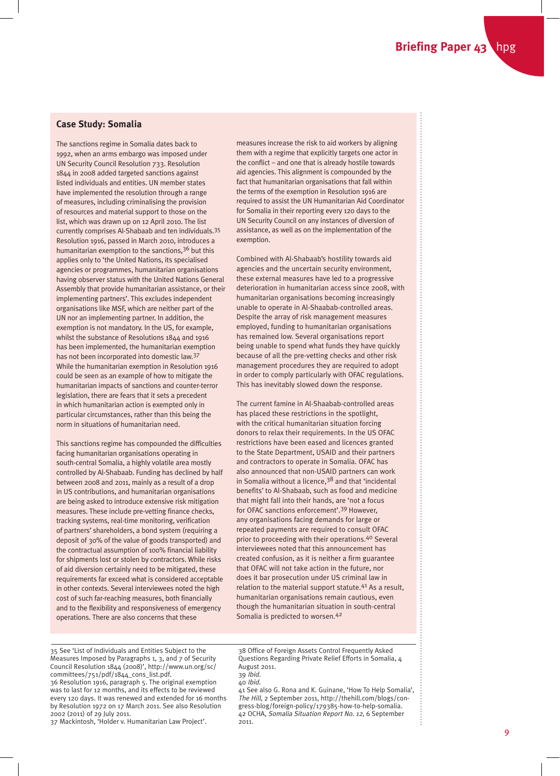# **Case Study: Somalia**

The sanctions regime in Somalia dates back to 1992, when an arms embargo was imposed under UN Security Council Resolution 733. Resolution 1844 in 2008 added targeted sanctions against listed individuals and entities. UN member states have implemented the resolution through a range of measures, including criminalising the provision of resources and material support to those on the list, which was drawn up on 12 April 2010. The list currently comprises Al-Shabaab and ten individuals.35 Resolution 1916, passed in March 2010, introduces a humanitarian exemption to the sanctions,36 but this applies only to 'the United Nations, its specialised agencies or programmes, humanitarian organisations having observer status with the United Nations General Assembly that provide humanitarian assistance, or their implementing partners'. This excludes independent organisations like MSF, which are neither part of the UN nor an implementing partner. In addition, the exemption is not mandatory. In the US, for example, whilst the substance of Resolutions 1844 and 1916 has been implemented, the humanitarian exemption has not been incorporated into domestic law.37 While the humanitarian exemption in Resolution 1916 could be seen as an example of how to mitigate the humanitarian impacts of sanctions and counter-terror legislation, there are fears that it sets a precedent in which humanitarian action is exempted only in particular circumstances, rather than this being the norm in situations of humanitarian need.

This sanctions regime has compounded the difficulties facing humanitarian organisations operating in south-central Somalia, a highly volatile area mostly controlled by Al-Shabaab. Funding has declined by half between 2008 and 2011, mainly as a result of a drop in US contributions, and humanitarian organisations are being asked to introduce extensive risk mitigation measures. These include pre-vetting finance checks, tracking systems, real-time monitoring, verification of partners' shareholders, a bond system (requiring a deposit of 30% of the value of goods transported) and the contractual assumption of 100% financial liability for shipments lost or stolen by contractors. While risks of aid diversion certainly need to be mitigated, these requirements far exceed what is considered acceptable in other contexts. Several interviewees noted the high cost of such far-reaching measures, both financially and to the flexibility and responsiveness of emergency operations. There are also concerns that these

measures increase the risk to aid workers by aligning them with a regime that explicitly targets one actor in the conflict – and one that is already hostile towards aid agencies. This alignment is compounded by the fact that humanitarian organisations that fall within the terms of the exemption in Resolution 1916 are required to assist the UN Humanitarian Aid Coordinator for Somalia in their reporting every 120 days to the UN Security Council on any instances of diversion of assistance, as well as on the implementation of the exemption.

Combined with Al-Shabaab's hostility towards aid agencies and the uncertain security environment, these external measures have led to a progressive deterioration in humanitarian access since 2008, with humanitarian organisations becoming increasingly unable to operate in Al-Shaabab-controlled areas. Despite the array of risk management measures employed, funding to humanitarian organisations has remained low. Several organisations report being unable to spend what funds they have quickly because of all the pre-vetting checks and other risk management procedures they are required to adopt in order to comply particularly with OFAC regulations. This has inevitably slowed down the response.

The current famine in Al-Shaabab-controlled areas has placed these restrictions in the spotlight, with the critical humanitarian situation forcing donors to relax their requirements. In the US OFAC restrictions have been eased and licences granted to the State Department, USAID and their partners and contractors to operate in Somalia. OFAC has also announced that non-USAID partners can work in Somalia without a licence,38 and that 'incidental benefits' to Al-Shabaab, such as food and medicine that might fall into their hands, are 'not a focus for OFAC sanctions enforcement'.39 However, any organisations facing demands for large or repeated payments are required to consult OFAC prior to proceeding with their operations.40 Several interviewees noted that this announcement has created confusion, as it is neither a firm guarantee that OFAC will not take action in the future, nor does it bar prosecution under US criminal law in relation to the material support statute.<sup>41</sup> As a result, humanitarian organisations remain cautious, even though the humanitarian situation in south-central Somalia is predicted to worsen.42

35 See 'List of Individuals and Entities Subject to the Measures Imposed by Paragraphs 1, 3, and 7 of Security Council Resolution 1844 (2008)', http://www.un.org/sc/ committees/751/pdf/1844\_cons\_list.pdf. 36 Resolution 1916, paragraph 5. The original exemption was to last for 12 months, and its effects to be reviewed every 120 days. It was renewed and extended for 16 months by Resolution 1972 on 17 March 2011. See also Resolution

2002 (2011) of 29 July 2011. 37 Mackintosh, 'Holder v. Humanitarian Law Project'. 38 Office of Foreign Assets Control Frequently Asked Questions Regarding Private Relief Efforts in Somalia, 4 August 2011. 39 Ibid.

41 See also G. Rona and K. Guinane, 'How To Help Somalia', The Hill, 2 September 2011, http://thehill.com/blogs/congress-blog/foreign-policy/179385-how-to-help-somalia. 42 OCHA, Somalia Situation Report No. 12, 6 September 2011.

<sup>40</sup> Ibid.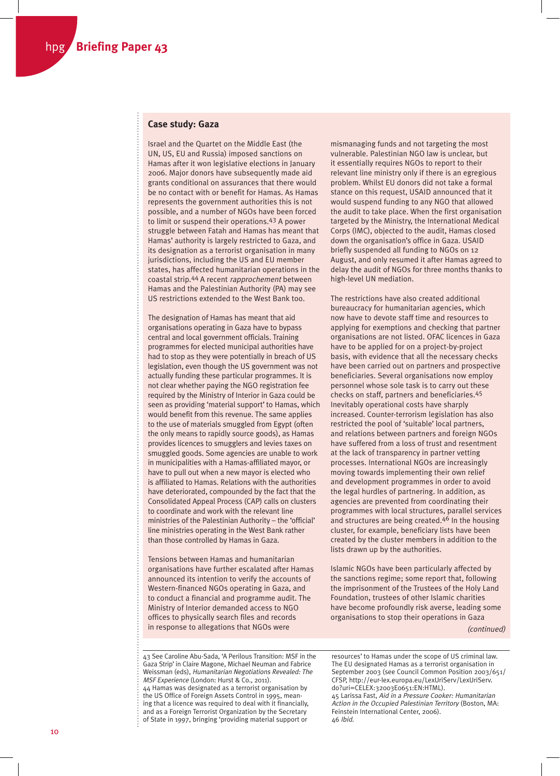# **Case study: Gaza**

Israel and the Quartet on the Middle East (the UN, US, EU and Russia) imposed sanctions on Hamas after it won legislative elections in January 2006. Major donors have subsequently made aid grants conditional on assurances that there would be no contact with or benefit for Hamas. As Hamas represents the government authorities this is not possible, and a number of NGOs have been forced to limit or suspend their operations.43 A power struggle between Fatah and Hamas has meant that Hamas' authority is largely restricted to Gaza, and its designation as a terrorist organisation in many jurisdictions, including the US and EU member states, has affected humanitarian operations in the coastal strip.44 A recent rapprochement between Hamas and the Palestinian Authority (PA) may see US restrictions extended to the West Bank too.

The designation of Hamas has meant that aid organisations operating in Gaza have to bypass central and local government officials. Training programmes for elected municipal authorities have had to stop as they were potentially in breach of US legislation, even though the US government was not actually funding these particular programmes. It is not clear whether paying the NGO registration fee required by the Ministry of Interior in Gaza could be seen as providing 'material support' to Hamas, which would benefit from this revenue. The same applies to the use of materials smuggled from Egypt (often the only means to rapidly source goods), as Hamas provides licences to smugglers and levies taxes on smuggled goods. Some agencies are unable to work in municipalities with a Hamas-affiliated mayor, or have to pull out when a new mayor is elected who is affiliated to Hamas. Relations with the authorities have deteriorated, compounded by the fact that the Consolidated Appeal Process (CAP) calls on clusters to coordinate and work with the relevant line ministries of the Palestinian Authority – the 'official' line ministries operating in the West Bank rather than those controlled by Hamas in Gaza.

Tensions between Hamas and humanitarian organisations have further escalated after Hamas announced its intention to verify the accounts of Western-financed NGOs operating in Gaza, and to conduct a financial and programme audit. The Ministry of Interior demanded access to NGO offices to physically search files and records in response to allegations that NGOs were

mismanaging funds and not targeting the most vulnerable. Palestinian NGO law is unclear, but it essentially requires NGOs to report to their relevant line ministry only if there is an egregious problem. Whilst EU donors did not take a formal stance on this request, USAID announced that it would suspend funding to any NGO that allowed the audit to take place. When the first organisation targeted by the Ministry, the International Medical Corps (IMC), objected to the audit, Hamas closed down the organisation's office in Gaza. USAID briefly suspended all funding to NGOs on 12 August, and only resumed it after Hamas agreed to delay the audit of NGOs for three months thanks to high-level UN mediation.

The restrictions have also created additional bureaucracy for humanitarian agencies, which now have to devote staff time and resources to applying for exemptions and checking that partner organisations are not listed. OFAC licences in Gaza have to be applied for on a project-by-project basis, with evidence that all the necessary checks have been carried out on partners and prospective beneficiaries. Several organisations now employ personnel whose sole task is to carry out these checks on staff, partners and beneficiaries.45 Inevitably operational costs have sharply increased. Counter-terrorism legislation has also restricted the pool of 'suitable' local partners, and relations between partners and foreign NGOs have suffered from a loss of trust and resentment at the lack of transparency in partner vetting processes. International NGOs are increasingly moving towards implementing their own relief and development programmes in order to avoid the legal hurdles of partnering. In addition, as agencies are prevented from coordinating their programmes with local structures, parallel services and structures are being created.<sup>46</sup> In the housing cluster, for example, beneficiary lists have been created by the cluster members in addition to the lists drawn up by the authorities.

Islamic NGOs have been particularly affected by the sanctions regime; some report that, following the imprisonment of the Trustees of the Holy Land Foundation, trustees of other Islamic charities have become profoundly risk averse, leading some organisations to stop their operations in Gaza (continued)

43 See Caroline Abu-Sada, 'A Perilous Transition: MSF in the Gaza Strip' in Claire Magone, Michael Neuman and Fabrice Weissman (eds), Humanitarian Negotiations Revealed: The MSF Experience (London: Hurst & Co., 2011). 44 Hamas was designated as a terrorist organisation by the US Office of Foreign Assets Control in 1995, meaning that a licence was required to deal with it financially, and as a Foreign Terrorist Organization by the Secretary of State in 1997, bringing 'providing material support or

resources' to Hamas under the scope of US criminal law. The EU designated Hamas as a terrorist organisation in September 2003 (see Council Common Position 2003/651/ CFSP, http://eur-lex.europa.eu/LexUriServ/LexUriServ. do?uri=CELEX:32003E0651:EN:HTML). 45 Larissa Fast, Aid in a Pressure Cooker: Humanitarian Action in the Occupied Palestinian Territory (Boston, MA: Feinstein International Center, 2006). 46 Ibid.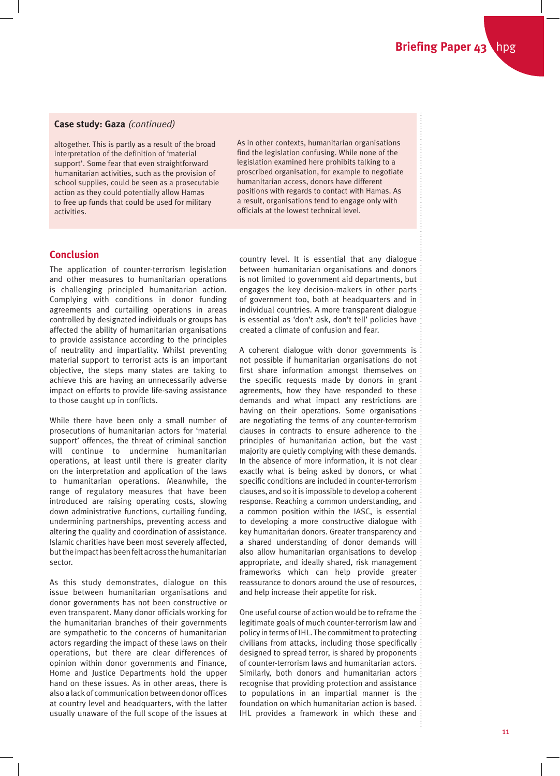# **Case study: Gaza** (continued)

altogether. This is partly as a result of the broad interpretation of the definition of 'material support'. Some fear that even straightforward humanitarian activities, such as the provision of school supplies, could be seen as a prosecutable action as they could potentially allow Hamas to free up funds that could be used for military activities.

As in other contexts, humanitarian organisations find the legislation confusing. While none of the legislation examined here prohibits talking to a proscribed organisation, for example to negotiate humanitarian access, donors have different positions with regards to contact with Hamas. As a result, organisations tend to engage only with officials at the lowest technical level.

# **Conclusion**

The application of counter-terrorism legislation and other measures to humanitarian operations is challenging principled humanitarian action. Complying with conditions in donor funding agreements and curtailing operations in areas controlled by designated individuals or groups has affected the ability of humanitarian organisations to provide assistance according to the principles of neutrality and impartiality. Whilst preventing material support to terrorist acts is an important objective, the steps many states are taking to achieve this are having an unnecessarily adverse impact on efforts to provide life-saving assistance to those caught up in conflicts.

While there have been only a small number of prosecutions of humanitarian actors for 'material support' offences, the threat of criminal sanction will continue to undermine humanitarian operations, at least until there is greater clarity on the interpretation and application of the laws to humanitarian operations. Meanwhile, the range of regulatory measures that have been introduced are raising operating costs, slowing down administrative functions, curtailing funding, undermining partnerships, preventing access and altering the quality and coordination of assistance. Islamic charities have been most severely affected, but the impact has been felt across the humanitarian sector.

As this study demonstrates, dialogue on this issue between humanitarian organisations and donor governments has not been constructive or even transparent. Many donor officials working for the humanitarian branches of their governments are sympathetic to the concerns of humanitarian actors regarding the impact of these laws on their operations, but there are clear differences of opinion within donor governments and Finance, Home and Justice Departments hold the upper hand on these issues. As in other areas, there is also a lack of communication between donor offices at country level and headquarters, with the latter usually unaware of the full scope of the issues at

country level. It is essential that any dialogue between humanitarian organisations and donors is not limited to government aid departments, but engages the key decision-makers in other parts of government too, both at headquarters and in individual countries. A more transparent dialogue is essential as 'don't ask, don't tell' policies have created a climate of confusion and fear.

A coherent dialogue with donor governments is not possible if humanitarian organisations do not first share information amongst themselves on the specific requests made by donors in grant agreements, how they have responded to these demands and what impact any restrictions are having on their operations. Some organisations are negotiating the terms of any counter-terrorism clauses in contracts to ensure adherence to the principles of humanitarian action, but the vast majority are quietly complying with these demands. In the absence of more information, it is not clear exactly what is being asked by donors, or what specific conditions are included in counter-terrorism clauses, and so it is impossible to develop a coherent response. Reaching a common understanding, and a common position within the IASC, is essential to developing a more constructive dialogue with key humanitarian donors. Greater transparency and a shared understanding of donor demands will also allow humanitarian organisations to develop appropriate, and ideally shared, risk management frameworks which can help provide greater reassurance to donors around the use of resources, and help increase their appetite for risk.

One useful course of action would be to reframe the legitimate goals of much counter-terrorism law and policy in terms of IHL. The commitment to protecting civilians from attacks, including those specifically designed to spread terror, is shared by proponents of counter-terrorism laws and humanitarian actors. Similarly, both donors and humanitarian actors recognise that providing protection and assistance to populations in an impartial manner is the foundation on which humanitarian action is based. IHL provides a framework in which these and